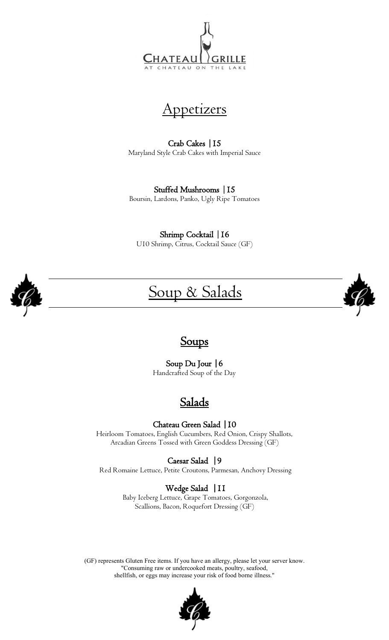



Crab Cakes |15 Maryland Style Crab Cakes with Imperial Sauce

Stuffed Mushrooms |15 Boursin, Lardons, Panko, Ugly Ripe Tomatoes

Shrimp Cocktail | 16 U10 Shrimp, Citrus, Cocktail Sauce (GF)



# Soup & Salads



#### Soups

Soup Du Jour |6 Handcrafted Soup of the Day

### Salads

Chateau Green Salad |10

Heirloom Tomatoes, English Cucumbers, Red Onion, Crispy Shallots, Arcadian Greens Tossed with Green Goddess Dressing (GF)

Caesar Salad |9

Red Romaine Lettuce, Petite Croutons, Parmesan, Anchovy Dressing

#### Wedge Salad |11

 Baby Iceberg Lettuce, Grape Tomatoes, Gorgonzola, Scallions, Bacon, Roquefort Dressing (GF)

(GF) represents Gluten Free items. If you have an allergy, please let your server know. "Consuming raw or undercooked meats, poultry, seafood, shellfish, or eggs may increase your risk of food borne illness."